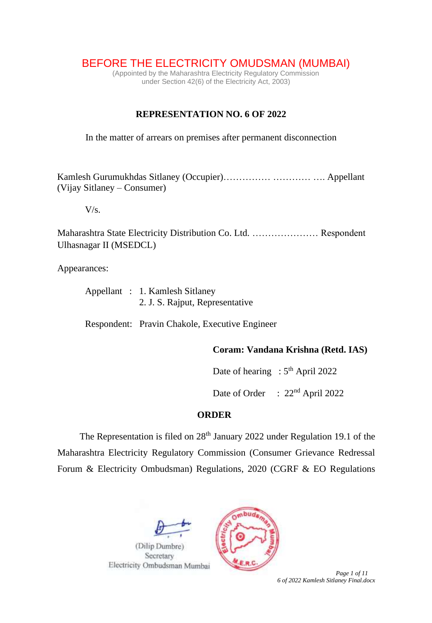BEFORE THE ELECTRICITY OMUDSMAN (MUMBAI)

(Appointed by the Maharashtra Electricity Regulatory Commission under Section 42(6) of the Electricity Act, 2003)

## **REPRESENTATION NO. 6 OF 2022**

In the matter of arrears on premises after permanent disconnection

Kamlesh Gurumukhdas Sitlaney (Occupier)…………… ………… …. Appellant (Vijay Sitlaney – Consumer)

 $V/s$ .

Maharashtra State Electricity Distribution Co. Ltd. ………………… Respondent Ulhasnagar II (MSEDCL)

Appearances:

|  | Appellant : 1. Kamlesh Sitlaney |
|--|---------------------------------|
|  | 2. J. S. Rajput, Representative |

Respondent: Pravin Chakole, Executive Engineer

**Coram: Vandana Krishna (Retd. IAS)**

Date of hearing :  $5<sup>th</sup>$  April 2022

Date of Order : 22<sup>nd</sup> April 2022

## **ORDER**

The Representation is filed on 28<sup>th</sup> January 2022 under Regulation 19.1 of the Maharashtra Electricity Regulatory Commission (Consumer Grievance Redressal Forum & Electricity Ombudsman) Regulations, 2020 (CGRF & EO Regulations





 *Page 1 of 11 6 of 2022 Kamlesh Sitlaney Final.docx*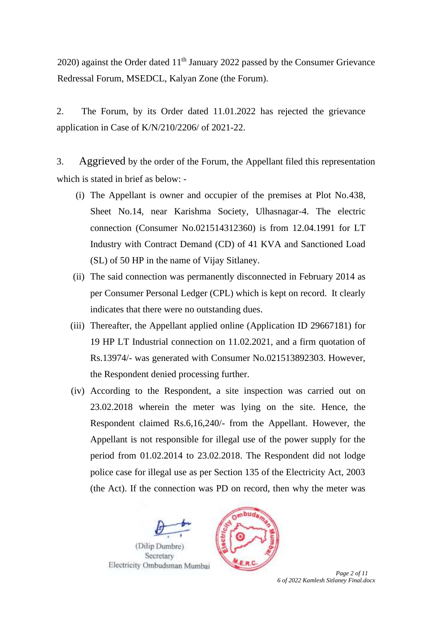2020) against the Order dated  $11<sup>th</sup>$  January 2022 passed by the Consumer Grievance Redressal Forum, MSEDCL, Kalyan Zone (the Forum).

2. The Forum, by its Order dated 11.01.2022 has rejected the grievance application in Case of K/N/210/2206/ of 2021-22.

3. Aggrieved by the order of the Forum, the Appellant filed this representation which is stated in brief as below: -

- (i) The Appellant is owner and occupier of the premises at Plot No.438, Sheet No.14, near Karishma Society, Ulhasnagar-4. The electric connection (Consumer No.021514312360) is from 12.04.1991 for LT Industry with Contract Demand (CD) of 41 KVA and Sanctioned Load (SL) of 50 HP in the name of Vijay Sitlaney.
- (ii) The said connection was permanently disconnected in February 2014 as per Consumer Personal Ledger (CPL) which is kept on record. It clearly indicates that there were no outstanding dues.
- (iii) Thereafter, the Appellant applied online (Application ID 29667181) for 19 HP LT Industrial connection on 11.02.2021, and a firm quotation of Rs.13974/- was generated with Consumer No.021513892303. However, the Respondent denied processing further.
- (iv) According to the Respondent, a site inspection was carried out on 23.02.2018 wherein the meter was lying on the site. Hence, the Respondent claimed Rs.6,16,240/- from the Appellant. However, the Appellant is not responsible for illegal use of the power supply for the period from 01.02.2014 to 23.02.2018. The Respondent did not lodge police case for illegal use as per Section 135 of the Electricity Act, 2003 (the Act). If the connection was PD on record, then why the meter was





 *Page 2 of 11 6 of 2022 Kamlesh Sitlaney Final.docx*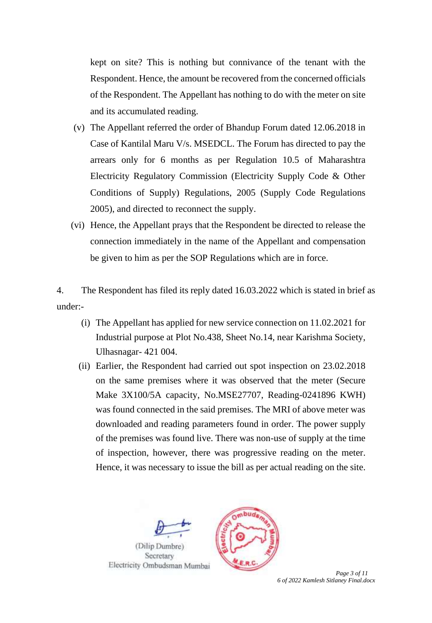kept on site? This is nothing but connivance of the tenant with the Respondent. Hence, the amount be recovered from the concerned officials of the Respondent. The Appellant has nothing to do with the meter on site and its accumulated reading.

- (v) The Appellant referred the order of Bhandup Forum dated 12.06.2018 in Case of Kantilal Maru V/s. MSEDCL. The Forum has directed to pay the arrears only for 6 months as per Regulation 10.5 of Maharashtra Electricity Regulatory Commission (Electricity Supply Code & Other Conditions of Supply) Regulations, 2005 (Supply Code Regulations 2005), and directed to reconnect the supply.
- (vi) Hence, the Appellant prays that the Respondent be directed to release the connection immediately in the name of the Appellant and compensation be given to him as per the SOP Regulations which are in force.

4. The Respondent has filed its reply dated 16.03.2022 which is stated in brief as under:-

- (i) The Appellant has applied for new service connection on 11.02.2021 for Industrial purpose at Plot No.438, Sheet No.14, near Karishma Society, Ulhasnagar- 421 004.
- (ii) Earlier, the Respondent had carried out spot inspection on 23.02.2018 on the same premises where it was observed that the meter (Secure Make 3X100/5A capacity, No.MSE27707, Reading-0241896 KWH) was found connected in the said premises. The MRI of above meter was downloaded and reading parameters found in order. The power supply of the premises was found live. There was non-use of supply at the time of inspection, however, there was progressive reading on the meter. Hence, it was necessary to issue the bill as per actual reading on the site.





 *Page 3 of 11 6 of 2022 Kamlesh Sitlaney Final.docx*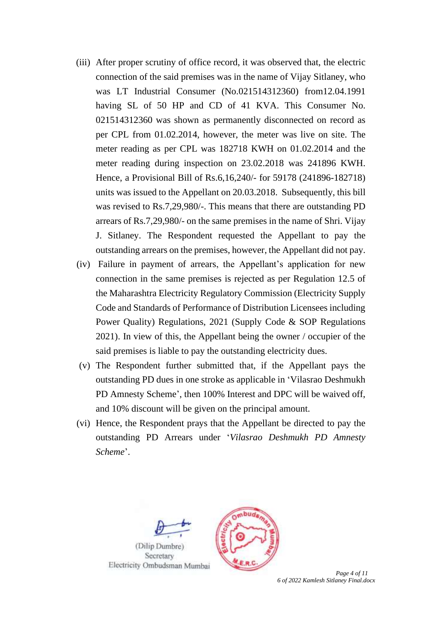- (iii) After proper scrutiny of office record, it was observed that, the electric connection of the said premises was in the name of Vijay Sitlaney, who was LT Industrial Consumer (No.021514312360) from12.04.1991 having SL of 50 HP and CD of 41 KVA. This Consumer No. 021514312360 was shown as permanently disconnected on record as per CPL from 01.02.2014, however, the meter was live on site. The meter reading as per CPL was 182718 KWH on 01.02.2014 and the meter reading during inspection on 23.02.2018 was 241896 KWH. Hence, a Provisional Bill of Rs.6,16,240/- for 59178 (241896-182718) units was issued to the Appellant on 20.03.2018. Subsequently, this bill was revised to Rs.7,29,980/-. This means that there are outstanding PD arrears of Rs.7,29,980/- on the same premises in the name of Shri. Vijay J. Sitlaney. The Respondent requested the Appellant to pay the outstanding arrears on the premises, however, the Appellant did not pay.
- (iv) Failure in payment of arrears, the Appellant's application for new connection in the same premises is rejected as per Regulation 12.5 of the Maharashtra Electricity Regulatory Commission (Electricity Supply Code and Standards of Performance of Distribution Licensees including Power Quality) Regulations, 2021 (Supply Code & SOP Regulations 2021). In view of this, the Appellant being the owner / occupier of the said premises is liable to pay the outstanding electricity dues.
- (v) The Respondent further submitted that, if the Appellant pays the outstanding PD dues in one stroke as applicable in 'Vilasrao Deshmukh PD Amnesty Scheme', then 100% Interest and DPC will be waived off, and 10% discount will be given on the principal amount.
- (vi) Hence, the Respondent prays that the Appellant be directed to pay the outstanding PD Arrears under '*Vilasrao Deshmukh PD Amnesty Scheme*'.





 *Page 4 of 11 6 of 2022 Kamlesh Sitlaney Final.docx*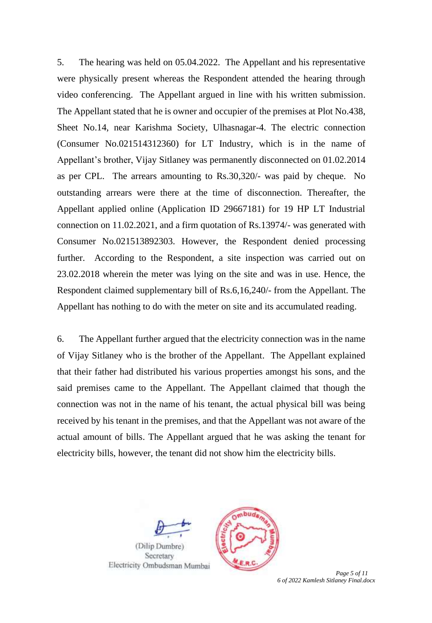5. The hearing was held on 05.04.2022. The Appellant and his representative were physically present whereas the Respondent attended the hearing through video conferencing. The Appellant argued in line with his written submission. The Appellant stated that he is owner and occupier of the premises at Plot No.438, Sheet No.14, near Karishma Society, Ulhasnagar-4. The electric connection (Consumer No.021514312360) for LT Industry, which is in the name of Appellant's brother, Vijay Sitlaney was permanently disconnected on 01.02.2014 as per CPL. The arrears amounting to Rs.30,320/- was paid by cheque. No outstanding arrears were there at the time of disconnection. Thereafter, the Appellant applied online (Application ID 29667181) for 19 HP LT Industrial connection on 11.02.2021, and a firm quotation of Rs.13974/- was generated with Consumer No.021513892303. However, the Respondent denied processing further. According to the Respondent, a site inspection was carried out on 23.02.2018 wherein the meter was lying on the site and was in use. Hence, the Respondent claimed supplementary bill of Rs.6,16,240/- from the Appellant. The Appellant has nothing to do with the meter on site and its accumulated reading.

6. The Appellant further argued that the electricity connection was in the name of Vijay Sitlaney who is the brother of the Appellant. The Appellant explained that their father had distributed his various properties amongst his sons, and the said premises came to the Appellant. The Appellant claimed that though the connection was not in the name of his tenant, the actual physical bill was being received by his tenant in the premises, and that the Appellant was not aware of the actual amount of bills. The Appellant argued that he was asking the tenant for electricity bills, however, the tenant did not show him the electricity bills.





Page 5 of 11 *6 of 2022 Kamlesh Sitlaney Final.docx*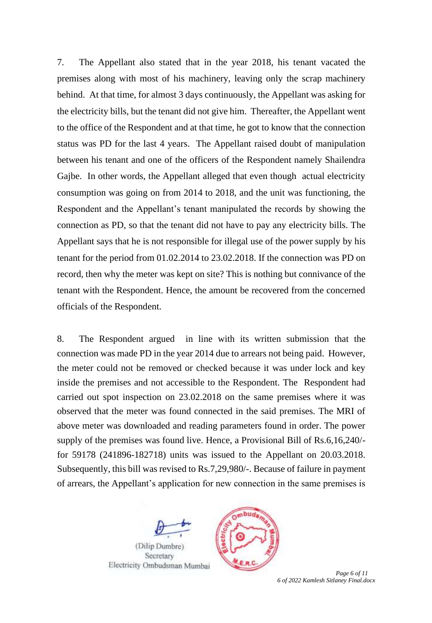7. The Appellant also stated that in the year 2018, his tenant vacated the premises along with most of his machinery, leaving only the scrap machinery behind. At that time, for almost 3 days continuously, the Appellant was asking for the electricity bills, but the tenant did not give him. Thereafter, the Appellant went to the office of the Respondent and at that time, he got to know that the connection status was PD for the last 4 years. The Appellant raised doubt of manipulation between his tenant and one of the officers of the Respondent namely Shailendra Gajbe. In other words, the Appellant alleged that even though actual electricity consumption was going on from 2014 to 2018, and the unit was functioning, the Respondent and the Appellant's tenant manipulated the records by showing the connection as PD, so that the tenant did not have to pay any electricity bills. The Appellant says that he is not responsible for illegal use of the power supply by his tenant for the period from 01.02.2014 to 23.02.2018. If the connection was PD on record, then why the meter was kept on site? This is nothing but connivance of the tenant with the Respondent. Hence, the amount be recovered from the concerned officials of the Respondent.

8. The Respondent argued in line with its written submission that the connection was made PD in the year 2014 due to arrears not being paid. However, the meter could not be removed or checked because it was under lock and key inside the premises and not accessible to the Respondent. The Respondent had carried out spot inspection on 23.02.2018 on the same premises where it was observed that the meter was found connected in the said premises. The MRI of above meter was downloaded and reading parameters found in order. The power supply of the premises was found live. Hence, a Provisional Bill of Rs.6,16,240/ for 59178 (241896-182718) units was issued to the Appellant on 20.03.2018. Subsequently, this bill was revised to Rs.7,29,980/-. Because of failure in payment of arrears, the Appellant's application for new connection in the same premises is





 *Page 6 of 11 6 of 2022 Kamlesh Sitlaney Final.docx*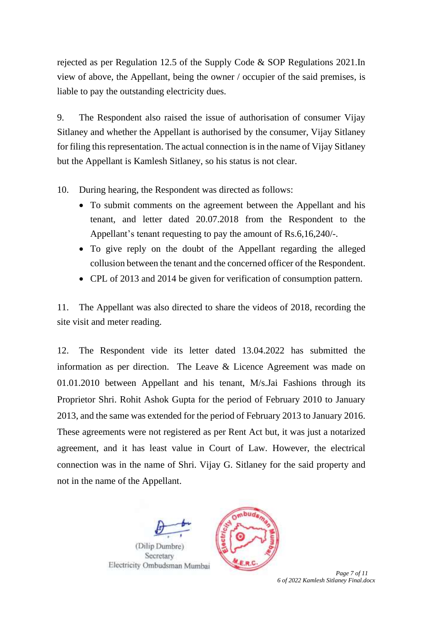rejected as per Regulation 12.5 of the Supply Code & SOP Regulations 2021.In view of above, the Appellant, being the owner / occupier of the said premises, is liable to pay the outstanding electricity dues.

9. The Respondent also raised the issue of authorisation of consumer Vijay Sitlaney and whether the Appellant is authorised by the consumer, Vijay Sitlaney for filing this representation. The actual connection is in the name of Vijay Sitlaney but the Appellant is Kamlesh Sitlaney, so his status is not clear.

10. During hearing, the Respondent was directed as follows:

- To submit comments on the agreement between the Appellant and his tenant, and letter dated 20.07.2018 from the Respondent to the Appellant's tenant requesting to pay the amount of Rs.6,16,240/-.
- To give reply on the doubt of the Appellant regarding the alleged collusion between the tenant and the concerned officer of the Respondent.
- CPL of 2013 and 2014 be given for verification of consumption pattern.

11. The Appellant was also directed to share the videos of 2018, recording the site visit and meter reading.

12. The Respondent vide its letter dated 13.04.2022 has submitted the information as per direction. The Leave & Licence Agreement was made on 01.01.2010 between Appellant and his tenant, M/s.Jai Fashions through its Proprietor Shri. Rohit Ashok Gupta for the period of February 2010 to January 2013, and the same was extended for the period of February 2013 to January 2016. These agreements were not registered as per Rent Act but, it was just a notarized agreement, and it has least value in Court of Law. However, the electrical connection was in the name of Shri. Vijay G. Sitlaney for the said property and not in the name of the Appellant.





 *Page 7 of 11 6 of 2022 Kamlesh Sitlaney Final.docx*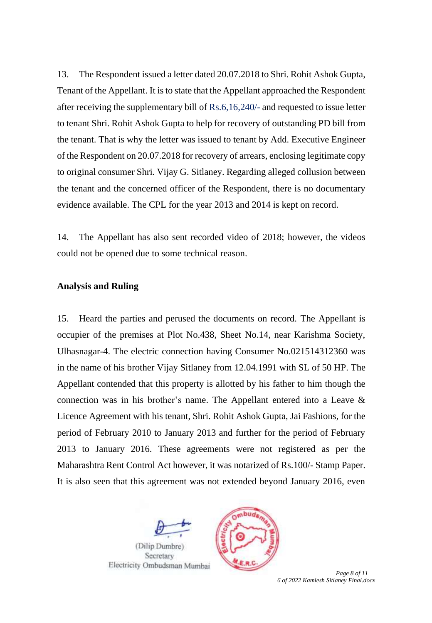13. The Respondent issued a letter dated 20.07.2018 to Shri. Rohit Ashok Gupta, Tenant of the Appellant. It is to state that the Appellant approached the Respondent after receiving the supplementary bill of Rs.6,16,240/- and requested to issue letter to tenant Shri. Rohit Ashok Gupta to help for recovery of outstanding PD bill from the tenant. That is why the letter was issued to tenant by Add. Executive Engineer of the Respondent on 20.07.2018 for recovery of arrears, enclosing legitimate copy to original consumer Shri. Vijay G. Sitlaney. Regarding alleged collusion between the tenant and the concerned officer of the Respondent, there is no documentary evidence available. The CPL for the year 2013 and 2014 is kept on record.

14. The Appellant has also sent recorded video of 2018; however, the videos could not be opened due to some technical reason.

## **Analysis and Ruling**

15. Heard the parties and perused the documents on record. The Appellant is occupier of the premises at Plot No.438, Sheet No.14, near Karishma Society, Ulhasnagar-4. The electric connection having Consumer No.021514312360 was in the name of his brother Vijay Sitlaney from 12.04.1991 with SL of 50 HP. The Appellant contended that this property is allotted by his father to him though the connection was in his brother's name. The Appellant entered into a Leave & Licence Agreement with his tenant, Shri. Rohit Ashok Gupta, Jai Fashions, for the period of February 2010 to January 2013 and further for the period of February 2013 to January 2016. These agreements were not registered as per the Maharashtra Rent Control Act however, it was notarized of Rs.100/- Stamp Paper. It is also seen that this agreement was not extended beyond January 2016, even





 *Page 8 of 11 6 of 2022 Kamlesh Sitlaney Final.docx*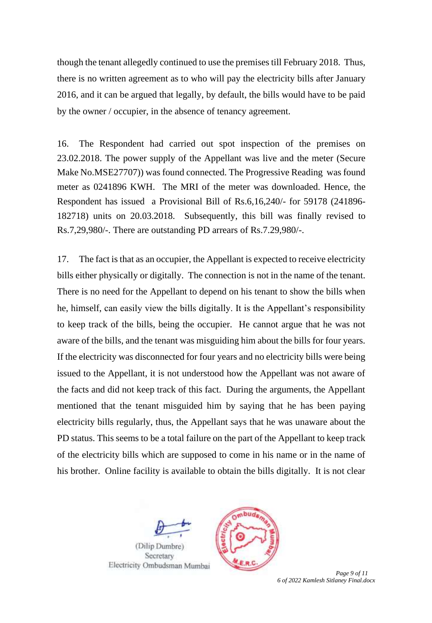though the tenant allegedly continued to use the premises till February 2018. Thus, there is no written agreement as to who will pay the electricity bills after January 2016, and it can be argued that legally, by default, the bills would have to be paid by the owner / occupier, in the absence of tenancy agreement.

16. The Respondent had carried out spot inspection of the premises on 23.02.2018. The power supply of the Appellant was live and the meter (Secure Make No.MSE27707)) was found connected. The Progressive Reading was found meter as 0241896 KWH. The MRI of the meter was downloaded. Hence, the Respondent has issued a Provisional Bill of Rs.6,16,240/- for 59178 (241896- 182718) units on 20.03.2018. Subsequently, this bill was finally revised to Rs.7,29,980/-. There are outstanding PD arrears of Rs.7.29,980/-.

17. The fact is that as an occupier, the Appellant is expected to receive electricity bills either physically or digitally. The connection is not in the name of the tenant. There is no need for the Appellant to depend on his tenant to show the bills when he, himself, can easily view the bills digitally. It is the Appellant's responsibility to keep track of the bills, being the occupier. He cannot argue that he was not aware of the bills, and the tenant was misguiding him about the bills for four years. If the electricity was disconnected for four years and no electricity bills were being issued to the Appellant, it is not understood how the Appellant was not aware of the facts and did not keep track of this fact. During the arguments, the Appellant mentioned that the tenant misguided him by saying that he has been paying electricity bills regularly, thus, the Appellant says that he was unaware about the PD status. This seems to be a total failure on the part of the Appellant to keep track of the electricity bills which are supposed to come in his name or in the name of his brother. Online facility is available to obtain the bills digitally. It is not clear





Page 9 of 11 *6 of 2022 Kamlesh Sitlaney Final.docx*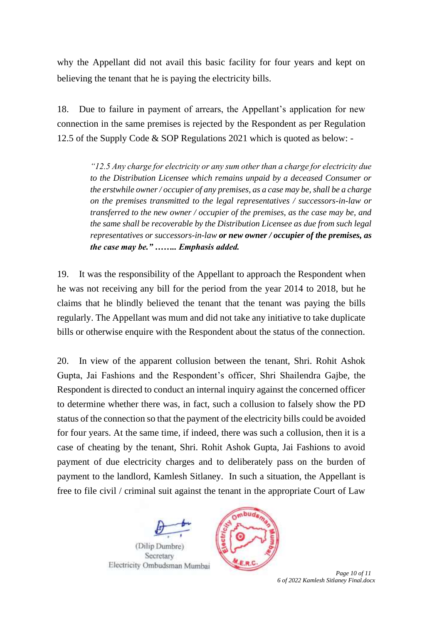why the Appellant did not avail this basic facility for four years and kept on believing the tenant that he is paying the electricity bills.

18. Due to failure in payment of arrears, the Appellant's application for new connection in the same premises is rejected by the Respondent as per Regulation 12.5 of the Supply Code & SOP Regulations 2021 which is quoted as below: -

> *"12.5 Any charge for electricity or any sum other than a charge for electricity due to the Distribution Licensee which remains unpaid by a deceased Consumer or the erstwhile owner / occupier of any premises, as a case may be, shall be a charge on the premises transmitted to the legal representatives / successors-in-law or transferred to the new owner / occupier of the premises, as the case may be, and the same shall be recoverable by the Distribution Licensee as due from such legal representatives or successors-in-law or new owner / occupier of the premises, as the case may be." …….. Emphasis added.*

19. It was the responsibility of the Appellant to approach the Respondent when he was not receiving any bill for the period from the year 2014 to 2018, but he claims that he blindly believed the tenant that the tenant was paying the bills regularly. The Appellant was mum and did not take any initiative to take duplicate bills or otherwise enquire with the Respondent about the status of the connection.

20. In view of the apparent collusion between the tenant, Shri. Rohit Ashok Gupta, Jai Fashions and the Respondent's officer, Shri Shailendra Gajbe, the Respondent is directed to conduct an internal inquiry against the concerned officer to determine whether there was, in fact, such a collusion to falsely show the PD status of the connection so that the payment of the electricity bills could be avoided for four years. At the same time, if indeed, there was such a collusion, then it is a case of cheating by the tenant, Shri. Rohit Ashok Gupta, Jai Fashions to avoid payment of due electricity charges and to deliberately pass on the burden of payment to the landlord, Kamlesh Sitlaney. In such a situation, the Appellant is free to file civil / criminal suit against the tenant in the appropriate Court of Law





Page 10 of 11 *6 of 2022 Kamlesh Sitlaney Final.docx*